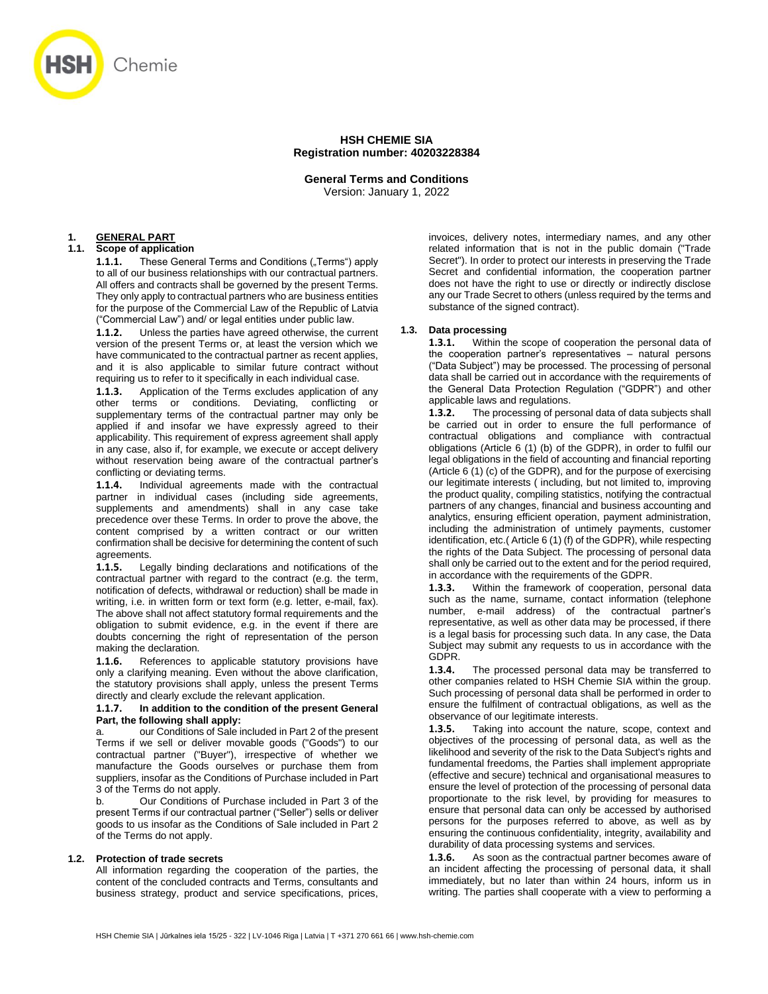

# **HSH CHEMIE SIA Registration number: 40203228384**

**General Terms and Conditions** Version: January 1, 2022

## **1. GENERAL PART**

# **1.1. Scope of application**

**1.1.1.** These General Terms and Conditions ("Terms") apply to all of our business relationships with our contractual partners. All offers and contracts shall be governed by the present Terms. They only apply to contractual partners who are business entities for the purpose of the Commercial Law of the Republic of Latvia ("Commercial Law") and/ or legal entities under public law.

**1.1.2.** Unless the parties have agreed otherwise, the current version of the present Terms or, at least the version which we have communicated to the contractual partner as recent applies, and it is also applicable to similar future contract without requiring us to refer to it specifically in each individual case.

**1.1.3.** Application of the Terms excludes application of any other terms or conditions. Deviating, conflicting or supplementary terms of the contractual partner may only be applied if and insofar we have expressly agreed to their applicability. This requirement of express agreement shall apply in any case, also if, for example, we execute or accept delivery without reservation being aware of the contractual partner's conflicting or deviating terms.

**1.1.4.** Individual agreements made with the contractual partner in individual cases (including side agreements, supplements and amendments) shall in any case take precedence over these Terms. In order to prove the above, the content comprised by a written contract or our written confirmation shall be decisive for determining the content of such agreements.

**1.1.5.** Legally binding declarations and notifications of the contractual partner with regard to the contract (e.g. the term, notification of defects, withdrawal or reduction) shall be made in writing, i.e. in written form or text form (e.g. letter, e-mail, fax). The above shall not affect statutory formal requirements and the obligation to submit evidence, e.g. in the event if there are doubts concerning the right of representation of the person making the declaration.

**1.1.6.** References to applicable statutory provisions have only a clarifying meaning. Even without the above clarification, the statutory provisions shall apply, unless the present Terms directly and clearly exclude the relevant application.

#### **1.1.7. In addition to the condition of the present General Part, the following shall apply:**

our Conditions of Sale included in Part 2 of the present Terms if we sell or deliver movable goods ("Goods") to our contractual partner ("Buyer"), irrespective of whether we manufacture the Goods ourselves or purchase them from suppliers, insofar as the Conditions of Purchase included in Part 3 of the Terms do not apply.

b. Our Conditions of Purchase included in Part 3 of the present Terms if our contractual partner ("Seller") sells or deliver goods to us insofar as the Conditions of Sale included in Part 2 of the Terms do not apply.

## **1.2. Protection of trade secrets**

All information regarding the cooperation of the parties, the content of the concluded contracts and Terms, consultants and business strategy, product and service specifications, prices, invoices, delivery notes, intermediary names, and any other related information that is not in the public domain ("Trade Secret"). In order to protect our interests in preserving the Trade Secret and confidential information, the cooperation partner does not have the right to use or directly or indirectly disclose any our Trade Secret to others (unless required by the terms and substance of the signed contract).

## **1.3. Data processing**

**1.3.1.** Within the scope of cooperation the personal data of the cooperation partner's representatives – natural persons ("Data Subject") may be processed. The processing of personal data shall be carried out in accordance with the requirements of the General Data Protection Regulation ("GDPR") and other applicable laws and regulations.

**1.3.2.** The processing of personal data of data subjects shall be carried out in order to ensure the full performance of contractual obligations and compliance with contractual obligations (Article 6 (1) (b) of the GDPR), in order to fulfil our legal obligations in the field of accounting and financial reporting (Article 6 (1) (c) of the GDPR), and for the purpose of exercising our legitimate interests ( including, but not limited to, improving the product quality, compiling statistics, notifying the contractual partners of any changes, financial and business accounting and analytics, ensuring efficient operation, payment administration, including the administration of untimely payments, customer identification, etc.( Article 6 (1) (f) of the GDPR), while respecting the rights of the Data Subject. The processing of personal data shall only be carried out to the extent and for the period required, in accordance with the requirements of the GDPR.

**1.3.3.** Within the framework of cooperation, personal data such as the name, surname, contact information (telephone number, e-mail address) of the contractual partner's representative, as well as other data may be processed, if there is a legal basis for processing such data. In any case, the Data Subject may submit any requests to us in accordance with the GDPR.

**1.3.4.** The processed personal data may be transferred to other companies related to HSH Chemie SIA within the group. Such processing of personal data shall be performed in order to ensure the fulfilment of contractual obligations, as well as the observance of our legitimate interests.

**1.3.5.** Taking into account the nature, scope, context and objectives of the processing of personal data, as well as the likelihood and severity of the risk to the Data Subject's rights and fundamental freedoms, the Parties shall implement appropriate (effective and secure) technical and organisational measures to ensure the level of protection of the processing of personal data proportionate to the risk level, by providing for measures to ensure that personal data can only be accessed by authorised persons for the purposes referred to above, as well as by ensuring the continuous confidentiality, integrity, availability and durability of data processing systems and services.

**1.3.6.** As soon as the contractual partner becomes aware of an incident affecting the processing of personal data, it shall immediately, but no later than within 24 hours, inform us in writing. The parties shall cooperate with a view to performing a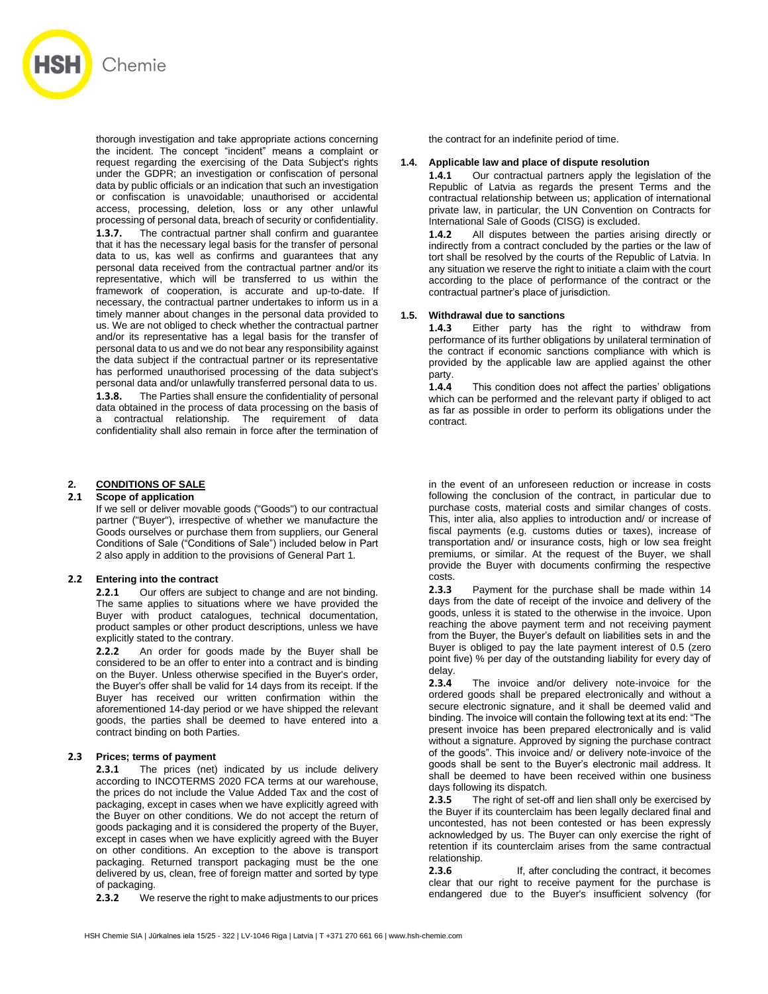

thorough investigation and take appropriate actions concerning the incident. The concept "incident" means a complaint or request regarding the exercising of the Data Subject's rights under the GDPR; an investigation or confiscation of personal data by public officials or an indication that such an investigation or confiscation is unavoidable; unauthorised or accidental access, processing, deletion, loss or any other unlawful processing of personal data, breach of security or confidentiality. **1.3.7.** The contractual partner shall confirm and guarantee that it has the necessary legal basis for the transfer of personal data to us, kas well as confirms and guarantees that any personal data received from the contractual partner and/or its representative, which will be transferred to us within the framework of cooperation, is accurate and up-to-date. If necessary, the contractual partner undertakes to inform us in a timely manner about changes in the personal data provided to us. We are not obliged to check whether the contractual partner and/or its representative has a legal basis for the transfer of personal data to us and we do not bear any responsibility against the data subject if the contractual partner or its representative has performed unauthorised processing of the data subject's personal data and/or unlawfully transferred personal data to us. **1.3.8.** The Parties shall ensure the confidentiality of personal data obtained in the process of data processing on the basis of a contractual relationship. The requirement of data confidentiality shall also remain in force after the termination of

# **2. CONDITIONS OF SALE**

## **2.1 Scope of application**

If we sell or deliver movable goods ("Goods") to our contractual partner ("Buyer"), irrespective of whether we manufacture the Goods ourselves or purchase them from suppliers, our General Conditions of Sale ("Conditions of Sale") included below in Part 2 also apply in addition to the provisions of General Part 1.

#### **2.2 Entering into the contract**

**2.2.1** Our offers are subject to change and are not binding. The same applies to situations where we have provided the Buyer with product catalogues, technical documentation, product samples or other product descriptions, unless we have explicitly stated to the contrary.

**2.2.2** An order for goods made by the Buyer shall be considered to be an offer to enter into a contract and is binding on the Buyer. Unless otherwise specified in the Buyer's order, the Buyer's offer shall be valid for 14 days from its receipt. If the Buyer has received our written confirmation within the aforementioned 14-day period or we have shipped the relevant goods, the parties shall be deemed to have entered into a contract binding on both Parties.

## **2.3 Prices; terms of payment**

**2.3.1** The prices (net) indicated by us include delivery according to INCOTERMS 2020 FCA terms at our warehouse, the prices do not include the Value Added Tax and the cost of packaging, except in cases when we have explicitly agreed with the Buyer on other conditions. We do not accept the return of goods packaging and it is considered the property of the Buyer, except in cases when we have explicitly agreed with the Buyer on other conditions. An exception to the above is transport packaging. Returned transport packaging must be the one delivered by us, clean, free of foreign matter and sorted by type of packaging.

**2.3.2** We reserve the right to make adjustments to our prices

the contract for an indefinite period of time.

#### **1.4. Applicable law and place of dispute resolution**

**1.4.1** Our contractual partners apply the legislation of the Republic of Latvia as regards the present Terms and the contractual relationship between us; application of international private law, in particular, the UN Convention on Contracts for International Sale of Goods (CISG) is excluded.

**1.4.2** All disputes between the parties arising directly or indirectly from a contract concluded by the parties or the law of tort shall be resolved by the courts of the Republic of Latvia. In any situation we reserve the right to initiate a claim with the court according to the place of performance of the contract or the contractual partner's place of jurisdiction.

#### **1.5. Withdrawal due to sanctions**

**1.4.3** Either party has the right to withdraw from performance of its further obligations by unilateral termination of the contract if economic sanctions compliance with which is provided by the applicable law are applied against the other party.

**1.4.4** This condition does not affect the parties' obligations which can be performed and the relevant party if obliged to act as far as possible in order to perform its obligations under the contract.

in the event of an unforeseen reduction or increase in costs following the conclusion of the contract, in particular due to purchase costs, material costs and similar changes of costs. This, inter alia, also applies to introduction and/ or increase of fiscal payments (e.g. customs duties or taxes), increase of transportation and/ or insurance costs, high or low sea freight premiums, or similar. At the request of the Buyer, we shall provide the Buyer with documents confirming the respective costs.

**2.3.3** Payment for the purchase shall be made within 14 days from the date of receipt of the invoice and delivery of the goods, unless it is stated to the otherwise in the invoice. Upon reaching the above payment term and not receiving payment from the Buyer, the Buyer's default on liabilities sets in and the Buyer is obliged to pay the late payment interest of 0.5 (zero point five) % per day of the outstanding liability for every day of delay.

**2.3.4** The invoice and/or delivery note-invoice for the ordered goods shall be prepared electronically and without a secure electronic signature, and it shall be deemed valid and binding. The invoice will contain the following text at its end: "The present invoice has been prepared electronically and is valid without a signature. Approved by signing the purchase contract of the goods". This invoice and/ or delivery note-invoice of the goods shall be sent to the Buyer's electronic mail address. It shall be deemed to have been received within one business days following its dispatch.

**2.3.5** The right of set-off and lien shall only be exercised by the Buyer if its counterclaim has been legally declared final and uncontested, has not been contested or has been expressly acknowledged by us. The Buyer can only exercise the right of retention if its counterclaim arises from the same contractual relationship.

**2.3.6** If, after concluding the contract, it becomes clear that our right to receive payment for the purchase is endangered due to the Buyer's insufficient solvency (for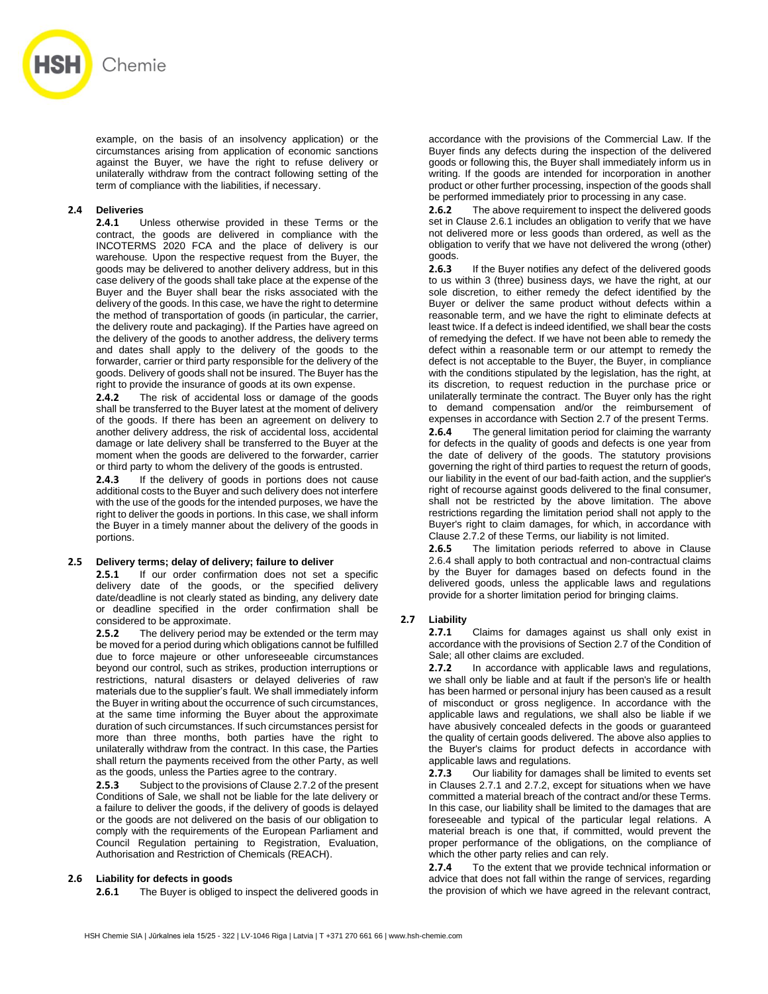

example, on the basis of an insolvency application) or the circumstances arising from application of economic sanctions against the Buyer, we have the right to refuse delivery or unilaterally withdraw from the contract following setting of the term of compliance with the liabilities, if necessary.

## **2.4 Deliveries**

**2.4.1** Unless otherwise provided in these Terms or the contract, the goods are delivered in compliance with the INCOTERMS 2020 FCA and the place of delivery is our warehouse*.* Upon the respective request from the Buyer, the goods may be delivered to another delivery address, but in this case delivery of the goods shall take place at the expense of the Buyer and the Buyer shall bear the risks associated with the delivery of the goods. In this case, we have the right to determine the method of transportation of goods (in particular, the carrier, the delivery route and packaging). If the Parties have agreed on the delivery of the goods to another address, the delivery terms and dates shall apply to the delivery of the goods to the forwarder, carrier or third party responsible for the delivery of the goods. Delivery of goods shall not be insured. The Buyer has the right to provide the insurance of goods at its own expense.

**2.4.2** The risk of accidental loss or damage of the goods shall be transferred to the Buyer latest at the moment of delivery of the goods. If there has been an agreement on delivery to another delivery address, the risk of accidental loss, accidental damage or late delivery shall be transferred to the Buyer at the moment when the goods are delivered to the forwarder, carrier or third party to whom the delivery of the goods is entrusted.

**2.4.3** If the delivery of goods in portions does not cause additional costs to the Buyer and such delivery does not interfere with the use of the goods for the intended purposes, we have the right to deliver the goods in portions. In this case, we shall inform the Buyer in a timely manner about the delivery of the goods in portions.

#### **2.5 Delivery terms; delay of delivery; failure to deliver**

**2.5.1** If our order confirmation does not set a specific delivery date of the goods, or the specified delivery date/deadline is not clearly stated as binding, any delivery date or deadline specified in the order confirmation shall be considered to be approximate.

**2.5.2** The delivery period may be extended or the term may be moved for a period during which obligations cannot be fulfilled due to force majeure or other unforeseeable circumstances beyond our control, such as strikes, production interruptions or restrictions, natural disasters or delayed deliveries of raw materials due to the supplier's fault. We shall immediately inform the Buyer in writing about the occurrence of such circumstances, at the same time informing the Buyer about the approximate duration of such circumstances. If such circumstances persist for more than three months, both parties have the right to unilaterally withdraw from the contract. In this case, the Parties shall return the payments received from the other Party, as well as the goods, unless the Parties agree to the contrary.

**2.5.3** Subject to the provisions of Clause 2.7.2 of the present Conditions of Sale, we shall not be liable for the late delivery or a failure to deliver the goods, if the delivery of goods is delayed or the goods are not delivered on the basis of our obligation to comply with the requirements of the European Parliament and Council Regulation pertaining to Registration, Evaluation, Authorisation and Restriction of Chemicals (REACH).

## **2.6 Liability for defects in goods**

**2.6.1** The Buyer is obliged to inspect the delivered goods in

accordance with the provisions of the Commercial Law. If the Buyer finds any defects during the inspection of the delivered goods or following this, the Buyer shall immediately inform us in writing. If the goods are intended for incorporation in another product or other further processing, inspection of the goods shall be performed immediately prior to processing in any case.

**2.6.2** The above requirement to inspect the delivered goods set in Clause 2.6.1 includes an obligation to verify that we have not delivered more or less goods than ordered, as well as the obligation to verify that we have not delivered the wrong (other) goods.

**2.6.3** If the Buyer notifies any defect of the delivered goods to us within 3 (three) business days, we have the right, at our sole discretion, to either remedy the defect identified by the Buyer or deliver the same product without defects within a reasonable term, and we have the right to eliminate defects at least twice. If a defect is indeed identified, we shall bear the costs of remedying the defect. If we have not been able to remedy the defect within a reasonable term or our attempt to remedy the defect is not acceptable to the Buyer, the Buyer, in compliance with the conditions stipulated by the legislation, has the right, at its discretion, to request reduction in the purchase price or unilaterally terminate the contract. The Buyer only has the right to demand compensation and/or the reimbursement of expenses in accordance with Section 2.7 of the present Terms.

**2.6.4** The general limitation period for claiming the warranty for defects in the quality of goods and defects is one year from the date of delivery of the goods. The statutory provisions governing the right of third parties to request the return of goods, our liability in the event of our bad-faith action, and the supplier's right of recourse against goods delivered to the final consumer, shall not be restricted by the above limitation. The above restrictions regarding the limitation period shall not apply to the Buyer's right to claim damages, for which, in accordance with Clause 2.7.2 of these Terms, our liability is not limited.

**2.6.5** The limitation periods referred to above in Clause 2.6.4 shall apply to both contractual and non-contractual claims by the Buyer for damages based on defects found in the delivered goods, unless the applicable laws and regulations provide for a shorter limitation period for bringing claims.

## **2.7 Liability**

**2.7.1** Claims for damages against us shall only exist in accordance with the provisions of Section 2.7 of the Condition of Sale; all other claims are excluded.

**2.7.2** In accordance with applicable laws and regulations, we shall only be liable and at fault if the person's life or health has been harmed or personal injury has been caused as a result of misconduct or gross negligence. In accordance with the applicable laws and regulations, we shall also be liable if we have abusively concealed defects in the goods or guaranteed the quality of certain goods delivered. The above also applies to the Buyer's claims for product defects in accordance with applicable laws and regulations.

**2.7.3** Our liability for damages shall be limited to events set in Clauses 2.7.1 and 2.7.2, except for situations when we have committed a material breach of the contract and/or these Terms. In this case, our liability shall be limited to the damages that are foreseeable and typical of the particular legal relations. A material breach is one that, if committed, would prevent the proper performance of the obligations, on the compliance of which the other party relies and can rely.

**2.7.4** To the extent that we provide technical information or advice that does not fall within the range of services, regarding the provision of which we have agreed in the relevant contract,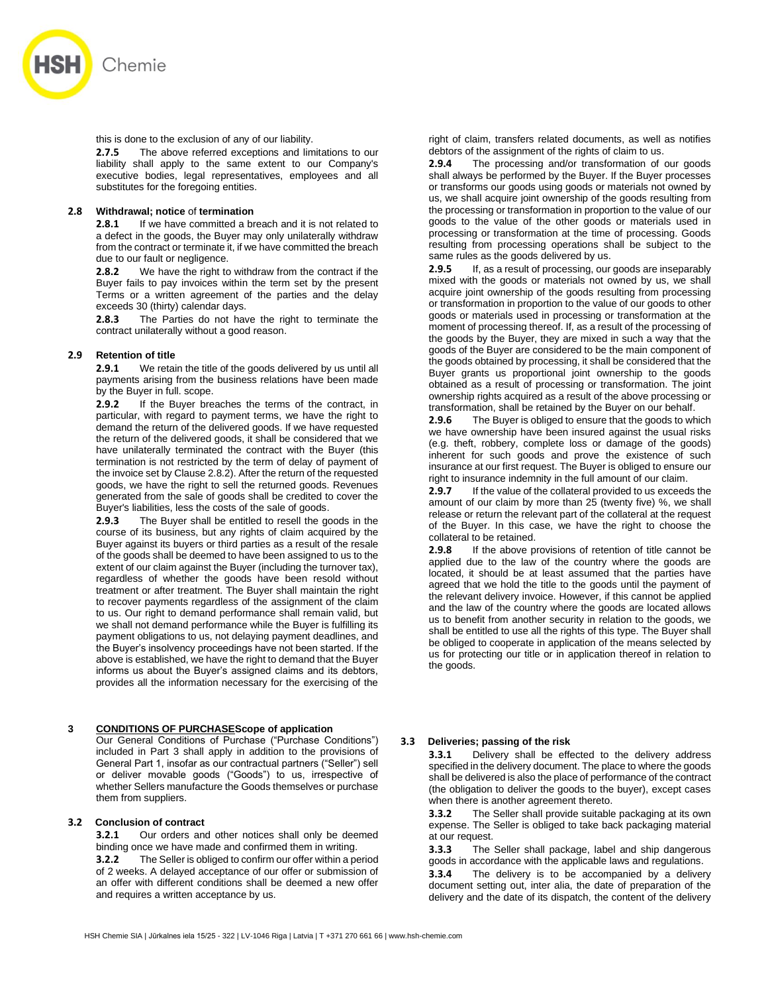

this is done to the exclusion of any of our liability.

**2.7.5** The above referred exceptions and limitations to our liability shall apply to the same extent to our Company's executive bodies, legal representatives, employees and all substitutes for the foregoing entities.

#### **2.8 Withdrawal; notice** of **termination**

**2.8.1** If we have committed a breach and it is not related to a defect in the goods, the Buyer may only unilaterally withdraw from the contract or terminate it, if we have committed the breach due to our fault or negligence.

**2.8.2** We have the right to withdraw from the contract if the Buyer fails to pay invoices within the term set by the present Terms or a written agreement of the parties and the delay exceeds 30 (thirty) calendar days.

**2.8.3** The Parties do not have the right to terminate the contract unilaterally without a good reason.

#### **2.9 Retention of title**

**2.9.1** We retain the title of the goods delivered by us until all payments arising from the business relations have been made by the Buyer in full. scope.

**2.9.2** If the Buyer breaches the terms of the contract, in particular, with regard to payment terms, we have the right to demand the return of the delivered goods. If we have requested the return of the delivered goods, it shall be considered that we have unilaterally terminated the contract with the Buyer (this termination is not restricted by the term of delay of payment of the invoice set by Clause 2.8.2). After the return of the requested goods, we have the right to sell the returned goods. Revenues generated from the sale of goods shall be credited to cover the Buyer's liabilities, less the costs of the sale of goods.

**2.9.3** The Buyer shall be entitled to resell the goods in the course of its business, but any rights of claim acquired by the Buyer against its buyers or third parties as a result of the resale of the goods shall be deemed to have been assigned to us to the extent of our claim against the Buyer (including the turnover tax), regardless of whether the goods have been resold without treatment or after treatment. The Buyer shall maintain the right to recover payments regardless of the assignment of the claim to us. Our right to demand performance shall remain valid, but we shall not demand performance while the Buyer is fulfilling its payment obligations to us, not delaying payment deadlines, and the Buyer's insolvency proceedings have not been started. If the above is established, we have the right to demand that the Buyer informs us about the Buyer's assigned claims and its debtors, provides all the information necessary for the exercising of the

## **3 CONDITIONS OF PURCHASEScope of application**

Our General Conditions of Purchase ("Purchase Conditions") included in Part 3 shall apply in addition to the provisions of General Part 1, insofar as our contractual partners ("Seller") sell or deliver movable goods ("Goods") to us, irrespective of whether Sellers manufacture the Goods themselves or purchase them from suppliers.

#### **3.2 Conclusion of contract**

**3.2.1** Our orders and other notices shall only be deemed binding once we have made and confirmed them in writing.

**3.2.2** The Seller is obliged to confirm our offer within a period of 2 weeks. A delayed acceptance of our offer or submission of an offer with different conditions shall be deemed a new offer and requires a written acceptance by us.

right of claim, transfers related documents, as well as notifies debtors of the assignment of the rights of claim to us.

**2.9.4** The processing and/or transformation of our goods shall always be performed by the Buyer. If the Buyer processes or transforms our goods using goods or materials not owned by us, we shall acquire joint ownership of the goods resulting from the processing or transformation in proportion to the value of our goods to the value of the other goods or materials used in processing or transformation at the time of processing. Goods resulting from processing operations shall be subject to the same rules as the goods delivered by us.

**2.9.5** If, as a result of processing, our goods are inseparably mixed with the goods or materials not owned by us, we shall acquire joint ownership of the goods resulting from processing or transformation in proportion to the value of our goods to other goods or materials used in processing or transformation at the moment of processing thereof. If, as a result of the processing of the goods by the Buyer, they are mixed in such a way that the goods of the Buyer are considered to be the main component of the goods obtained by processing, it shall be considered that the Buyer grants us proportional joint ownership to the goods obtained as a result of processing or transformation. The joint ownership rights acquired as a result of the above processing or transformation, shall be retained by the Buyer on our behalf.

**2.9.6** The Buyer is obliged to ensure that the goods to which we have ownership have been insured against the usual risks (e.g. theft, robbery, complete loss or damage of the goods) inherent for such goods and prove the existence of such insurance at our first request. The Buyer is obliged to ensure our right to insurance indemnity in the full amount of our claim.

**2.9.7** If the value of the collateral provided to us exceeds the amount of our claim by more than 25 (twenty five) %, we shall release or return the relevant part of the collateral at the request of the Buyer. In this case, we have the right to choose the collateral to be retained.

**2.9.8** If the above provisions of retention of title cannot be applied due to the law of the country where the goods are located, it should be at least assumed that the parties have agreed that we hold the title to the goods until the payment of the relevant delivery invoice. However, if this cannot be applied and the law of the country where the goods are located allows us to benefit from another security in relation to the goods, we shall be entitled to use all the rights of this type. The Buyer shall be obliged to cooperate in application of the means selected by us for protecting our title or in application thereof in relation to the goods.

## **3.3 Deliveries; passing of the risk**

**3.3.1** Delivery shall be effected to the delivery address specified in the delivery document. The place to where the goods shall be delivered is also the place of performance of the contract (the obligation to deliver the goods to the buyer), except cases when there is another agreement thereto.

**3.3.2** The Seller shall provide suitable packaging at its own expense. The Seller is obliged to take back packaging material at our request.

**3.3.3** The Seller shall package, label and ship dangerous goods in accordance with the applicable laws and regulations.

**3.3.4** The delivery is to be accompanied by a delivery document setting out, inter alia, the date of preparation of the delivery and the date of its dispatch, the content of the delivery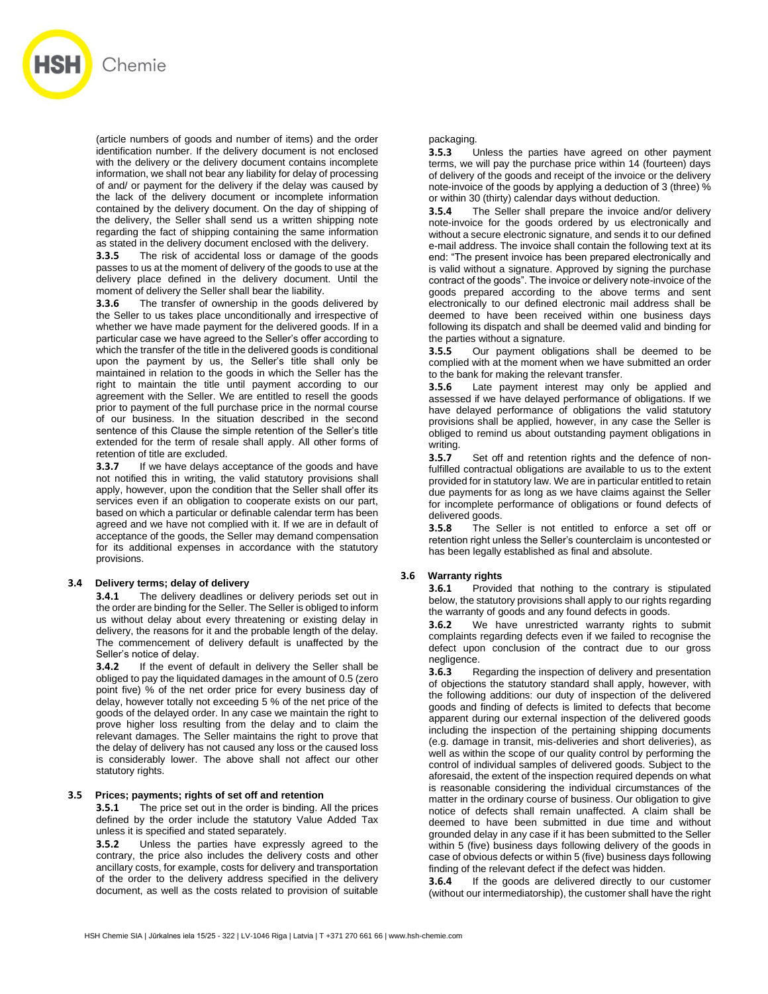

(article numbers of goods and number of items) and the order identification number. If the delivery document is not enclosed with the delivery or the delivery document contains incomplete information, we shall not bear any liability for delay of processing of and/ or payment for the delivery if the delay was caused by the lack of the delivery document or incomplete information contained by the delivery document. On the day of shipping of the delivery, the Seller shall send us a written shipping note regarding the fact of shipping containing the same information as stated in the delivery document enclosed with the delivery.

**3.3.5** The risk of accidental loss or damage of the goods passes to us at the moment of delivery of the goods to use at the delivery place defined in the delivery document. Until the moment of delivery the Seller shall bear the liability.

**3.3.6** The transfer of ownership in the goods delivered by the Seller to us takes place unconditionally and irrespective of whether we have made payment for the delivered goods. If in a particular case we have agreed to the Seller's offer according to which the transfer of the title in the delivered goods is conditional upon the payment by us, the Seller's title shall only be maintained in relation to the goods in which the Seller has the right to maintain the title until payment according to our agreement with the Seller. We are entitled to resell the goods prior to payment of the full purchase price in the normal course of our business. In the situation described in the second sentence of this Clause the simple retention of the Seller's title extended for the term of resale shall apply. All other forms of retention of title are excluded.

**3.3.7** If we have delays acceptance of the goods and have not notified this in writing, the valid statutory provisions shall apply, however, upon the condition that the Seller shall offer its services even if an obligation to cooperate exists on our part, based on which a particular or definable calendar term has been agreed and we have not complied with it. If we are in default of acceptance of the goods, the Seller may demand compensation for its additional expenses in accordance with the statutory provisions.

#### **3.4 Delivery terms; delay of delivery**

**3.4.1** The delivery deadlines or delivery periods set out in the order are binding for the Seller. The Seller is obliged to inform us without delay about every threatening or existing delay in delivery, the reasons for it and the probable length of the delay. The commencement of delivery default is unaffected by the Seller's notice of delay.

**3.4.2** If the event of default in delivery the Seller shall be obliged to pay the liquidated damages in the amount of 0.5 (zero point five) % of the net order price for every business day of delay, however totally not exceeding 5 % of the net price of the goods of the delayed order. In any case we maintain the right to prove higher loss resulting from the delay and to claim the relevant damages. The Seller maintains the right to prove that the delay of delivery has not caused any loss or the caused loss is considerably lower. The above shall not affect our other statutory rights.

#### **3.5 Prices; payments; rights of set off and retention**

**3.5.1** The price set out in the order is binding. All the prices defined by the order include the statutory Value Added Tax unless it is specified and stated separately.

**3.5.2** Unless the parties have expressly agreed to the contrary, the price also includes the delivery costs and other ancillary costs, for example, costs for delivery and transportation of the order to the delivery address specified in the delivery document, as well as the costs related to provision of suitable

#### packaging.

**3.5.3** Unless the parties have agreed on other payment terms, we will pay the purchase price within 14 (fourteen) days of delivery of the goods and receipt of the invoice or the delivery note-invoice of the goods by applying a deduction of 3 (three) % or within 30 (thirty) calendar days without deduction.

**3.5.4** The Seller shall prepare the invoice and/or delivery note-invoice for the goods ordered by us electronically and without a secure electronic signature, and sends it to our defined e-mail address. The invoice shall contain the following text at its end: "The present invoice has been prepared electronically and is valid without a signature. Approved by signing the purchase contract of the goods". The invoice or delivery note-invoice of the goods prepared according to the above terms and sent electronically to our defined electronic mail address shall be deemed to have been received within one business days following its dispatch and shall be deemed valid and binding for the parties without a signature.

**3.5.5** Our payment obligations shall be deemed to be complied with at the moment when we have submitted an order to the bank for making the relevant transfer.

**3.5.6** Late payment interest may only be applied and assessed if we have delayed performance of obligations. If we have delayed performance of obligations the valid statutory provisions shall be applied, however, in any case the Seller is obliged to remind us about outstanding payment obligations in writing.

**3.5.7** Set off and retention rights and the defence of nonfulfilled contractual obligations are available to us to the extent provided for in statutory law. We are in particular entitled to retain due payments for as long as we have claims against the Seller for incomplete performance of obligations or found defects of delivered goods.

**3.5.8** The Seller is not entitled to enforce a set off or retention right unless the Seller's counterclaim is uncontested or has been legally established as final and absolute.

## **3.6 Warranty rights**

**3.6.1** Provided that nothing to the contrary is stipulated below, the statutory provisions shall apply to our rights regarding the warranty of goods and any found defects in goods.

**3.6.2** We have unrestricted warranty rights to submit complaints regarding defects even if we failed to recognise the defect upon conclusion of the contract due to our gross negligence.

**3.6.3** Regarding the inspection of delivery and presentation of objections the statutory standard shall apply, however, with the following additions: our duty of inspection of the delivered goods and finding of defects is limited to defects that become apparent during our external inspection of the delivered goods including the inspection of the pertaining shipping documents (e.g. damage in transit, mis-deliveries and short deliveries), as well as within the scope of our quality control by performing the control of individual samples of delivered goods. Subject to the aforesaid, the extent of the inspection required depends on what is reasonable considering the individual circumstances of the matter in the ordinary course of business. Our obligation to give notice of defects shall remain unaffected. A claim shall be deemed to have been submitted in due time and without grounded delay in any case if it has been submitted to the Seller within 5 (five) business days following delivery of the goods in case of obvious defects or within 5 (five) business days following finding of the relevant defect if the defect was hidden.

**3.6.4** If the goods are delivered directly to our customer (without our intermediatorship), the customer shall have the right